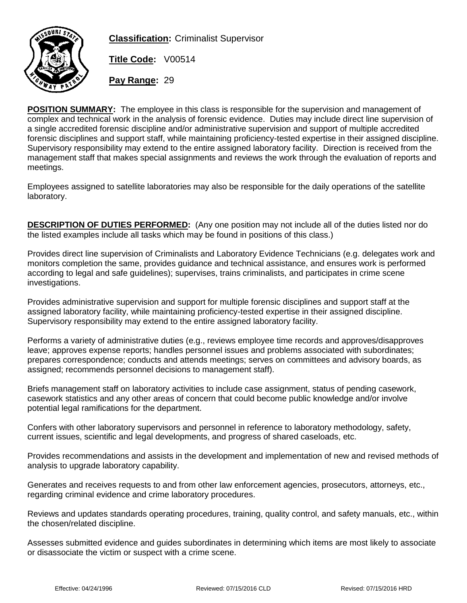

**Classification:** Criminalist Supervisor

**Title Code:** V00514

**Pay Range:** 29

**POSITION SUMMARY:** The employee in this class is responsible for the supervision and management of complex and technical work in the analysis of forensic evidence. Duties may include direct line supervision of a single accredited forensic discipline and/or administrative supervision and support of multiple accredited forensic disciplines and support staff, while maintaining proficiency-tested expertise in their assigned discipline. Supervisory responsibility may extend to the entire assigned laboratory facility. Direction is received from the management staff that makes special assignments and reviews the work through the evaluation of reports and meetings.

Employees assigned to satellite laboratories may also be responsible for the daily operations of the satellite laboratory.

**DESCRIPTION OF DUTIES PERFORMED:** (Any one position may not include all of the duties listed nor do the listed examples include all tasks which may be found in positions of this class.)

Provides direct line supervision of Criminalists and Laboratory Evidence Technicians (e.g. delegates work and monitors completion the same, provides guidance and technical assistance, and ensures work is performed according to legal and safe guidelines); supervises, trains criminalists, and participates in crime scene investigations.

Provides administrative supervision and support for multiple forensic disciplines and support staff at the assigned laboratory facility, while maintaining proficiency-tested expertise in their assigned discipline. Supervisory responsibility may extend to the entire assigned laboratory facility.

Performs a variety of administrative duties (e.g., reviews employee time records and approves/disapproves leave; approves expense reports; handles personnel issues and problems associated with subordinates; prepares correspondence; conducts and attends meetings; serves on committees and advisory boards, as assigned; recommends personnel decisions to management staff).

Briefs management staff on laboratory activities to include case assignment, status of pending casework, casework statistics and any other areas of concern that could become public knowledge and/or involve potential legal ramifications for the department.

Confers with other laboratory supervisors and personnel in reference to laboratory methodology, safety, current issues, scientific and legal developments, and progress of shared caseloads, etc.

Provides recommendations and assists in the development and implementation of new and revised methods of analysis to upgrade laboratory capability.

Generates and receives requests to and from other law enforcement agencies, prosecutors, attorneys, etc., regarding criminal evidence and crime laboratory procedures.

Reviews and updates standards operating procedures, training, quality control, and safety manuals, etc., within the chosen/related discipline.

Assesses submitted evidence and guides subordinates in determining which items are most likely to associate or disassociate the victim or suspect with a crime scene.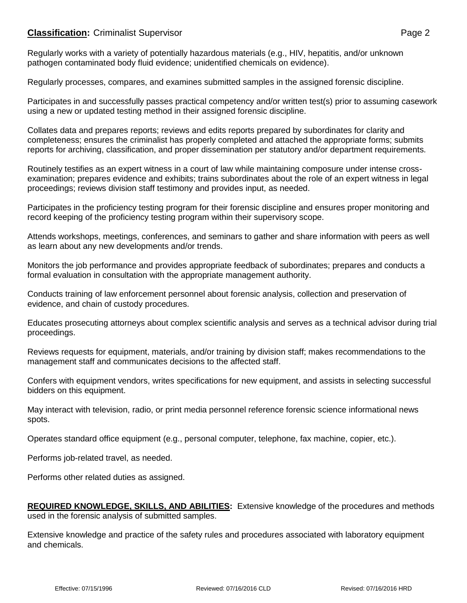## **Classification:** Criminalist Supervisor **Page 2 Page 2**

Regularly works with a variety of potentially hazardous materials (e.g., HIV, hepatitis, and/or unknown pathogen contaminated body fluid evidence; unidentified chemicals on evidence).

Regularly processes, compares, and examines submitted samples in the assigned forensic discipline.

Participates in and successfully passes practical competency and/or written test(s) prior to assuming casework using a new or updated testing method in their assigned forensic discipline.

Collates data and prepares reports; reviews and edits reports prepared by subordinates for clarity and completeness; ensures the criminalist has properly completed and attached the appropriate forms; submits reports for archiving, classification, and proper dissemination per statutory and/or department requirements.

Routinely testifies as an expert witness in a court of law while maintaining composure under intense crossexamination; prepares evidence and exhibits; trains subordinates about the role of an expert witness in legal proceedings; reviews division staff testimony and provides input, as needed.

Participates in the proficiency testing program for their forensic discipline and ensures proper monitoring and record keeping of the proficiency testing program within their supervisory scope.

Attends workshops, meetings, conferences, and seminars to gather and share information with peers as well as learn about any new developments and/or trends.

Monitors the job performance and provides appropriate feedback of subordinates; prepares and conducts a formal evaluation in consultation with the appropriate management authority.

Conducts training of law enforcement personnel about forensic analysis, collection and preservation of evidence, and chain of custody procedures.

Educates prosecuting attorneys about complex scientific analysis and serves as a technical advisor during trial proceedings.

Reviews requests for equipment, materials, and/or training by division staff; makes recommendations to the management staff and communicates decisions to the affected staff.

Confers with equipment vendors, writes specifications for new equipment, and assists in selecting successful bidders on this equipment.

May interact with television, radio, or print media personnel reference forensic science informational news spots.

Operates standard office equipment (e.g., personal computer, telephone, fax machine, copier, etc.).

Performs job-related travel, as needed.

Performs other related duties as assigned.

**REQUIRED KNOWLEDGE, SKILLS, AND ABILITIES:** Extensive knowledge of the procedures and methods used in the forensic analysis of submitted samples.

Extensive knowledge and practice of the safety rules and procedures associated with laboratory equipment and chemicals.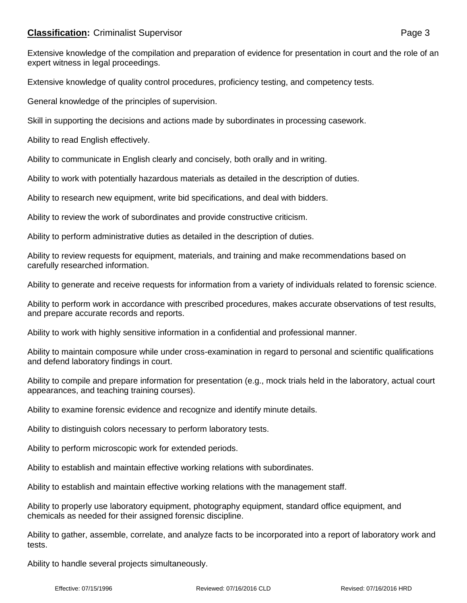## **Classification:** Criminalist Supervisor **Page 3 Page 3**

Extensive knowledge of the compilation and preparation of evidence for presentation in court and the role of an expert witness in legal proceedings.

Extensive knowledge of quality control procedures, proficiency testing, and competency tests.

General knowledge of the principles of supervision.

Skill in supporting the decisions and actions made by subordinates in processing casework.

Ability to read English effectively.

Ability to communicate in English clearly and concisely, both orally and in writing.

Ability to work with potentially hazardous materials as detailed in the description of duties.

Ability to research new equipment, write bid specifications, and deal with bidders.

Ability to review the work of subordinates and provide constructive criticism.

Ability to perform administrative duties as detailed in the description of duties.

Ability to review requests for equipment, materials, and training and make recommendations based on carefully researched information.

Ability to generate and receive requests for information from a variety of individuals related to forensic science.

Ability to perform work in accordance with prescribed procedures, makes accurate observations of test results, and prepare accurate records and reports.

Ability to work with highly sensitive information in a confidential and professional manner.

Ability to maintain composure while under cross-examination in regard to personal and scientific qualifications and defend laboratory findings in court.

Ability to compile and prepare information for presentation (e.g., mock trials held in the laboratory, actual court appearances, and teaching training courses).

Ability to examine forensic evidence and recognize and identify minute details.

Ability to distinguish colors necessary to perform laboratory tests.

Ability to perform microscopic work for extended periods.

Ability to establish and maintain effective working relations with subordinates.

Ability to establish and maintain effective working relations with the management staff.

Ability to properly use laboratory equipment, photography equipment, standard office equipment, and chemicals as needed for their assigned forensic discipline.

Ability to gather, assemble, correlate, and analyze facts to be incorporated into a report of laboratory work and tests.

Ability to handle several projects simultaneously.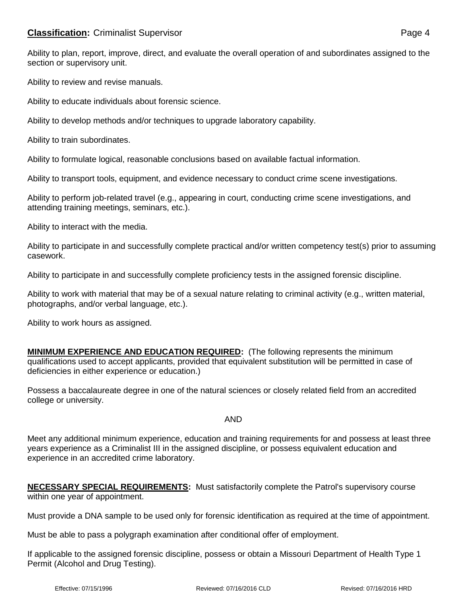## **Classification:** Criminalist Supervisor **Page 4 Page 4**

Ability to review and revise manuals.

Ability to educate individuals about forensic science.

Ability to develop methods and/or techniques to upgrade laboratory capability.

Ability to train subordinates.

Ability to formulate logical, reasonable conclusions based on available factual information.

Ability to transport tools, equipment, and evidence necessary to conduct crime scene investigations.

Ability to perform job-related travel (e.g., appearing in court, conducting crime scene investigations, and attending training meetings, seminars, etc.).

Ability to interact with the media.

Ability to participate in and successfully complete practical and/or written competency test(s) prior to assuming casework.

Ability to participate in and successfully complete proficiency tests in the assigned forensic discipline.

Ability to work with material that may be of a sexual nature relating to criminal activity (e.g., written material, photographs, and/or verbal language, etc.).

Ability to work hours as assigned.

**MINIMUM EXPERIENCE AND EDUCATION REQUIRED:** (The following represents the minimum qualifications used to accept applicants, provided that equivalent substitution will be permitted in case of deficiencies in either experience or education.)

Possess a baccalaureate degree in one of the natural sciences or closely related field from an accredited college or university.

## AND

Meet any additional minimum experience, education and training requirements for and possess at least three years experience as a Criminalist III in the assigned discipline, or possess equivalent education and experience in an accredited crime laboratory.

|                                 | <b>NECESSARY SPECIAL REQUIREMENTS:</b> Must satisfactorily complete the Patrol's supervisory course |
|---------------------------------|-----------------------------------------------------------------------------------------------------|
| within one year of appointment. |                                                                                                     |

Must provide a DNA sample to be used only for forensic identification as required at the time of appointment.

Must be able to pass a polygraph examination after conditional offer of employment.

If applicable to the assigned forensic discipline, possess or obtain a Missouri Department of Health Type 1 Permit (Alcohol and Drug Testing).